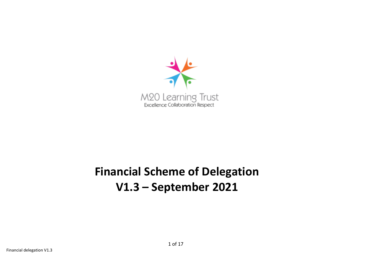

# **Financial Scheme of Delegation V1.3 – September 2021**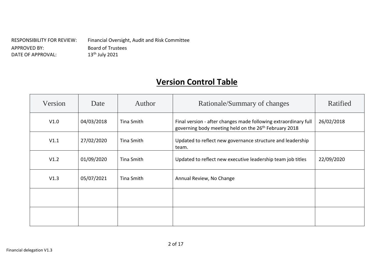RESPONSIBILITY FOR REVIEW: Financial Oversight, Audit and Risk Committee APPROVED BY: Board of Trustees<br>DATE OF APPROVAL: 13<sup>th</sup> July 2021 DATE OF APPROVAL:

# **Version Control Table**

| Version | Date       | Author     | Rationale/Summary of changes                                                                                                         | Ratified   |
|---------|------------|------------|--------------------------------------------------------------------------------------------------------------------------------------|------------|
| V1.0    | 04/03/2018 | Tina Smith | Final version - after changes made following extraordinary full<br>governing body meeting held on the 26 <sup>th</sup> February 2018 | 26/02/2018 |
| V1.1    | 27/02/2020 | Tina Smith | Updated to reflect new governance structure and leadership<br>team.                                                                  |            |
| V1.2    | 01/09/2020 | Tina Smith | Updated to reflect new executive leadership team job titles                                                                          | 22/09/2020 |
| V1.3    | 05/07/2021 | Tina Smith | Annual Review, No Change                                                                                                             |            |
|         |            |            |                                                                                                                                      |            |
|         |            |            |                                                                                                                                      |            |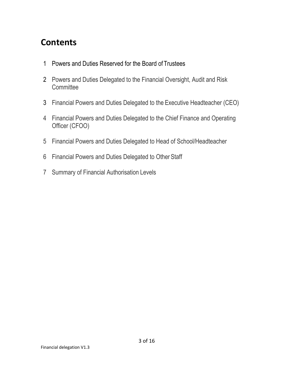# **Contents**

- Powers and Duties Reserved for the Board of Trustees
- Powers and Duties Delegated to the Financial Oversight, Audit and Risk **Committee**
- Financial Powers and Duties Delegated to the Executive Headteacher (CEO)
- Financial Powers and Duties Delegated to the Chief Finance and Operating Officer (CFOO)
- Financial Powers and Duties Delegated to Head of School/Headteacher
- Financial Powers and Duties Delegated to Other Staff
- Summary of Financial Authorisation Levels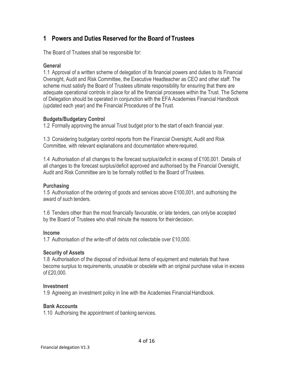# **1 Powers and Duties Reserved for the Board of Trustees**

The Board of Trustees shall be responsible for:

# **General**

1.1 Approval of a written scheme of delegation of its financial powers and duties to its Financial Oversight, Audit and Risk Committee, the Executive Headteacher as CEO and other staff. The scheme must satisfy the Board of Trustees ultimate responsibility for ensuring that there are adequate operational controls in place for all the financial processes within the Trust. The Scheme of Delegation should be operated in conjunction with the EFA Academies Financial Handbook (updated each year) and the Financial Procedures of the Trust.

# **Budgets/Budgetary Control**

1.2 Formally approving the annual Trust budget prior to the start of each financial year.

1.3 Considering budgetary control reports from the Financial Oversight, Audit and Risk Committee, with relevant explanations and documentation where required.

1.4 Authorisation of all changes to the forecast surplus/deficit in excess of £100,001. Details of all changes to the forecast surplus/deficit approved and authorised by the Financial Oversight, Audit and Risk Committee are to be formally notified to the Board of Trustees.

# **Purchasing**

1.5 Authorisation of the ordering of goods and services above £100,001, and authorising the award of such tenders.

1.6 Tenders other than the most financially favourable, or late tenders, can onlybe accepted by the Board of Trustees who shall minute the reasons for theirdecision.

# **Income**

1.7 Authorisation of the write-off of debts not collectable over £10,000.

# **Security of Assets**

1.8 Authorisation of the disposal of individual items of equipment and materials that have become surplus to requirements, unusable or obsolete with an original purchase value in excess of £20,000.

# **Investment**

1.9 Agreeing an investment policy in line with the Academies FinancialHandbook.

# **Bank Accounts**

1.10 Authorising the appointment of banking services.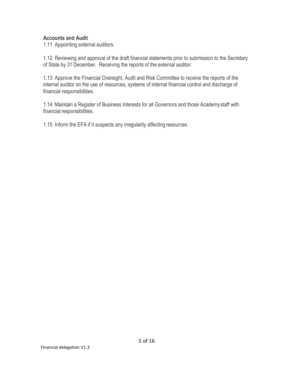#### **Accounts and Audit**

1.11 Appointing external auditors.

1.12 Reviewing and approval of the draft financial statements prior to submission to the Secretary of State by 31 December. Receiving the reports of the external auditor.

1.13 Approve the Financial Oversight, Audit and Risk Committee to receive the reports of the internal auditor on the use of resources, systems of internal financial control and discharge of financial responsibilities.

1.14 Maintain a Register of Business Interests for all Governors and those Academy staff with financial responsibilities.

1.15 Inform the EFA if it suspects any irregularity affecting resources.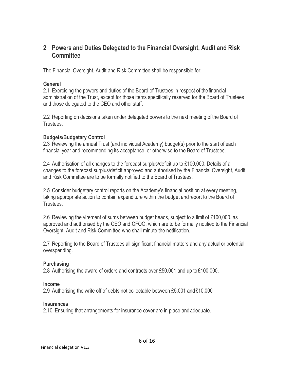# **2 Powers and Duties Delegated to the Financial Oversight, Audit and Risk Committee**

The Financial Oversight, Audit and Risk Committee shall be responsible for:

#### **General**

2.1 Exercising the powers and duties of the Board of Trustees in respect of thefinancial administration of the Trust, except for those items specifically reserved for the Board of Trustees and those delegated to the CEO and other staff.

2.2 Reporting on decisions taken under delegated powers to the next meeting of the Board of Trustees.

#### **Budgets/Budgetary Control**

2.3 Reviewing the annual Trust (and individual Academy) budget(s) prior to the start of each financial year and recommending its acceptance, or otherwise to the Board of Trustees.

2.4 Authorisation of all changes to the forecast surplus/deficit up to £100,000. Details of all changes to the forecast surplus/deficit approved and authorised by the Financial Oversight, Audit and Risk Committee are to be formally notified to the Board of Trustees.

2.5 Consider budgetary control reports on the Academy's financial position at every meeting, taking appropriate action to contain expenditure within the budget andreport to the Board of **Trustees** 

2.6 Reviewing the virement of sums between budget heads, subject to a limit of £100,000, as approved and authorised by the CEO and CFOO, which are to be formally notified to the Financial Oversight, Audit and Risk Committee who shall minute the notification.

2.7 Reporting to the Board of Trustees all significant financial matters and any actualor potential overspending.

# **Purchasing**

2.8 Authorising the award of orders and contracts over £50,001 and up to £100,000.

#### **Income**

2.9 Authorising the write off of debts not collectable between £5,001 and£10,000

#### **Insurances**

2.10 Ensuring that arrangements for insurance cover are in place andadequate.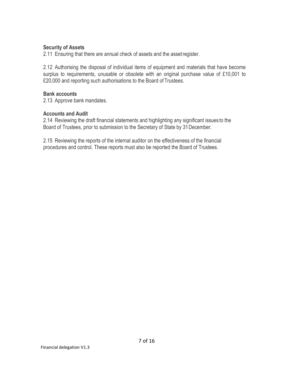#### **Security of Assets**

2.11 Ensuring that there are annual check of assets and the assetregister.

2.12 Authorising the disposal of individual items of equipment and materials that have become surplus to requirements, unusable or obsolete with an original purchase value of £10,001 to £20,000 and reporting such authorisations to the Board of Trustees.

#### **Bank accounts**

2.13 Approve bank mandates.

#### **Accounts and Audit**

2.14 Reviewing the draft financial statements and highlighting any significant issues to the Board of Trustees, prior to submission to the Secretary of State by 31December.

2.15 Reviewing the reports of the internal auditor on the effectiveness of the financial procedures and control. These reports must also be reported the Board of Trustees.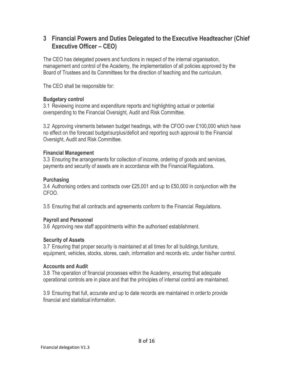# **3 Financial Powers and Duties Delegated to the Executive Headteacher (Chief Executive Officer – CEO)**

The CEO has delegated powers and functions in respect of the internal organisation, management and control of the Academy, the implementation of all policies approved by the Board of Trustees and its Committees for the direction of teaching and the curriculum.

The CEO shall be responsible for:

#### **Budgetary control**

3.1 Reviewing income and expenditure reports and highlighting actual or potential overspending to the Financial Oversight, Audit and Risk Committee.

3.2 Approving virements between budget headings, with the CFOO over £100,000 which have no effect on the forecast budgetsurplus/deficit and reporting such approval to the Financial Oversight, Audit and Risk Committee.

#### **Financial Management**

3.3 Ensuring the arrangements for collection of income, ordering of goods and services, payments and security of assets are in accordance with the Financial Regulations.

# **Purchasing**

3.4 Authorising orders and contracts over £25,001 and up to £50,000 in conjunction with the CFOO.

3.5 Ensuring that all contracts and agreements conform to the Financial Regulations.

# **Payroll and Personnel**

3.6 Approving new staff appointments within the authorised establishment.

#### **Security of Assets**

3.7 Ensuring that proper security is maintained at all times for all buildings,furniture, equipment, vehicles, stocks, stores, cash, information and records etc. under his/her control.

#### **Accounts and Audit**

3.8 The operation of financial processes within the Academy, ensuring that adequate operational controls are in place and that the principles of internal control are maintained.

3.9 Ensuring that full, accurate and up to date records are maintained in orderto provide financial and statistical information.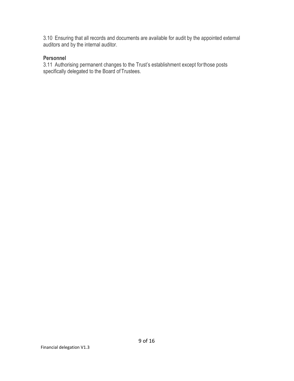3.10 Ensuring that all records and documents are available for audit by the appointed external auditors and by the internal auditor.

#### **Personnel**

3.11 Authorising permanent changes to the Trust's establishment except forthose posts specifically delegated to the Board of Trustees.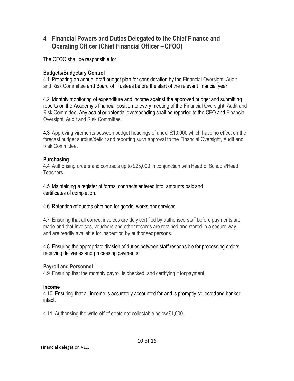# **4 Financial Powers and Duties Delegated to the Chief Finance and Operating Officer (Chief Financial Officer –CFOO)**

The CFOO shall be responsible for:

# **Budgets/Budgetary Control**

4.1 Preparing an annual draft budget plan for consideration by the Financial Oversight, Audit and Risk Committee and Board of Trustees before the start of the relevant financial year.

4.2 Monthly monitoring of expenditure and income against the approved budget and submitting reports on the Academy's financial position to every meeting of the Financial Oversight, Audit and Risk Committee. Any actual or potential overspending shall be reported to the CEO and Financial Oversight, Audit and Risk Committee.

4.3 Approving virements between budget headings of under £10,000 which have no effect on the forecast budget surplus/deficit and reporting such approval to the Financial Oversight, Audit and Risk Committee.

# **Purchasing**

4.4 Authorising orders and contracts up to £25,000 in conjunction with Head of Schools/Head Teachers.

4.5 Maintaining a register of formal contracts entered into, amounts paid and certificates of completion.

4.6 Retention of quotes obtained for goods, works andservices.

4.7 Ensuring that all correct invoices are duly certified by authorised staff before payments are made and that invoices, vouchers and other records are retained and stored in a secure way and are readily available for inspection by authorised persons.

4.8 Ensuring the appropriate division of duties between staff responsible for processing orders, receiving deliveries and processing payments.

# **Payroll and Personnel**

4.9 Ensuring that the monthly payroll is checked, and certifying it forpayment.

#### **Income**

4.10 Ensuring that all income is accurately accounted for and is promptly collectedand banked intact.

4.11 Authorising the write-off of debts not collectable below£1,000.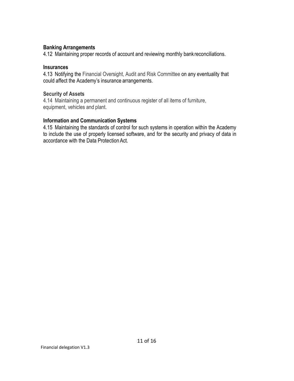#### **Banking Arrangements**

4.12 Maintaining proper records of account and reviewing monthly bank reconciliations.

#### **Insurances**

4.13 Notifying the Financial Oversight, Audit and Risk Committee on any eventuality that could affect the Academy's insurance arrangements.

#### **Security of Assets**

4.14 Maintaining a permanent and continuous register of all items of furniture, equipment, vehicles and plant.

#### **Information and Communication Systems**

4.15 Maintaining the standards of control for such systems in operation within the Academy to include the use of properly licensed software, and for the security and privacy of data in accordance with the Data Protection Act.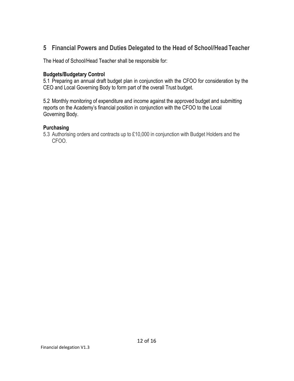# **5 Financial Powers and Duties Delegated to the Head of School/HeadTeacher**

The Head of School/Head Teacher shall be responsible for:

#### **Budgets/Budgetary Control**

5.1 Preparing an annual draft budget plan in conjunction with the CFOO for consideration by the CEO and Local Governing Body to form part of the overall Trust budget.

5.2 Monthly monitoring of expenditure and income against the approved budget and submitting reports on the Academy's financial position in conjunction with the CFOO to the Local Governing Body.

#### **Purchasing**

5.3 Authorising orders and contracts up to £10,000 in conjunction with Budget Holders and the CFOO.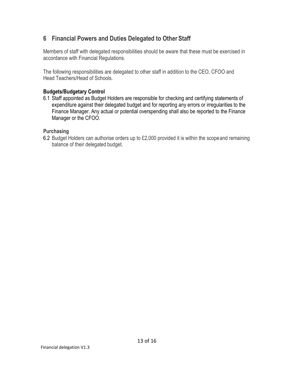# **6 Financial Powers and Duties Delegated to Other Staff**

Members of staff with delegated responsibilities should be aware that these must be exercised in accordance with Financial Regulations.

The following responsibilities are delegated to other staff in addition to the CEO, CFOO and Head Teachers/Head of Schools.

# **Budgets/Budgetary Control**

6.1 Staff appointed as Budget Holders are responsible for checking and certifying statements of expenditure against their delegated budget and for reporting any errors or irregularities to the Finance Manager. Any actual or potential overspending shall also be reported to the Finance Manager or the CFOO.

# **Purchasing**

6.2 Budget Holders can authorise orders up to £2,000 provided it is within the scopeand remaining balance of their delegated budget.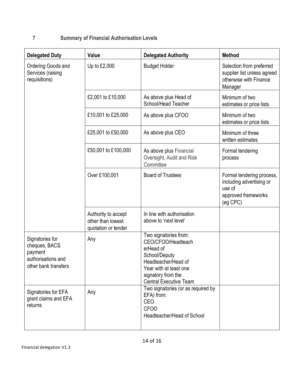# **7 Summary of Financial Authorisation Levels**

| <b>Delegated Duty</b>                                                                     | Value                                                           | <b>Delegated Authority</b>                                                                                                                                                        | <b>Method</b>                                                                                      |
|-------------------------------------------------------------------------------------------|-----------------------------------------------------------------|-----------------------------------------------------------------------------------------------------------------------------------------------------------------------------------|----------------------------------------------------------------------------------------------------|
| Ordering Goods and<br>Services (raising<br>requisitions)                                  | Up to £2,000                                                    | <b>Budget Holder</b>                                                                                                                                                              | Selection from preferred<br>supplier list unless agreed<br>otherwise with Finance<br>Manager       |
|                                                                                           | £2,001 to £10,000                                               | As above plus Head of<br>School/Head Teacher                                                                                                                                      | Minimum of two<br>estimates or price lists                                                         |
|                                                                                           | £10,001 to £25,000                                              | As above plus CFOO                                                                                                                                                                | Minimum of two<br>estimates or price lists                                                         |
|                                                                                           | £25,001 to £50,000                                              | As above plus CEO                                                                                                                                                                 | Minimum of three<br>written estimates                                                              |
|                                                                                           | £50,001 to £100,000                                             | As above plus Financial<br>Oversight, Audit and Risk<br>Committee                                                                                                                 | Formal tendering<br>process                                                                        |
|                                                                                           | Over £100,001                                                   | <b>Board of Trustees</b>                                                                                                                                                          | Formal tendering process,<br>including advertising or<br>use of<br>approved frameworks<br>(eg CPC) |
|                                                                                           | Authority to accept<br>other than lowest<br>quotation or tender | In line with authorisation<br>above to 'next level'                                                                                                                               |                                                                                                    |
| Signatories for<br>cheques, BACS<br>payment<br>authorisations and<br>other bank transfers | Any                                                             | Two signatories from:<br>CEO/CFOO/Headteach<br>erHead of<br>School/Deputy<br>Headteacher/Head of<br>Year with at least one<br>signatory from the<br><b>Central Executive Team</b> |                                                                                                    |
| Signatories for EFA<br>grant claims and EFA<br>returns                                    | Any                                                             | Two signatories (or as required by<br>EFA) from:<br>CEO<br><b>CFOO</b><br>Headteacher/Head of School                                                                              |                                                                                                    |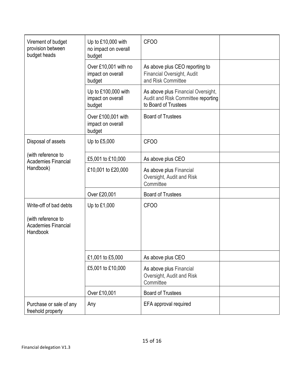| Virement of budget<br>provision between<br>budget heads                                | Up to £10,000 with<br>no impact on overall<br>budget | <b>CFOO</b>                                                                                      |  |
|----------------------------------------------------------------------------------------|------------------------------------------------------|--------------------------------------------------------------------------------------------------|--|
|                                                                                        | Over £10,001 with no<br>impact on overall<br>budget  | As above plus CEO reporting to<br>Financial Oversight, Audit<br>and Risk Committee               |  |
|                                                                                        | Up to £100,000 with<br>impact on overall<br>budget   | As above plus Financial Oversight,<br>Audit and Risk Committee reporting<br>to Board of Trustees |  |
|                                                                                        | Over £100,001 with<br>impact on overall<br>budget    | <b>Board of Trustees</b>                                                                         |  |
| Disposal of assets                                                                     | Up to £5,000                                         | <b>CFOO</b>                                                                                      |  |
| (with reference to<br><b>Academies Financial</b>                                       | £5,001 to £10,000                                    | As above plus CEO                                                                                |  |
| Handbook)                                                                              | £10,001 to £20,000                                   | As above plus Financial<br>Oversight, Audit and Risk<br>Committee                                |  |
|                                                                                        | Over £20,001                                         | <b>Board of Trustees</b>                                                                         |  |
| Write-off of bad debts<br>(with reference to<br><b>Academies Financial</b><br>Handbook | Up to £1,000                                         | <b>CFOO</b>                                                                                      |  |
|                                                                                        | £1,001 to £5,000                                     | As above plus CEO                                                                                |  |
|                                                                                        | £5,001 to £10,000                                    | As above plus Financial<br>Oversight, Audit and Risk<br>Committee                                |  |
|                                                                                        | Over £10,001                                         | <b>Board of Trustees</b>                                                                         |  |
| Purchase or sale of any<br>freehold property                                           | Any                                                  | EFA approval required                                                                            |  |